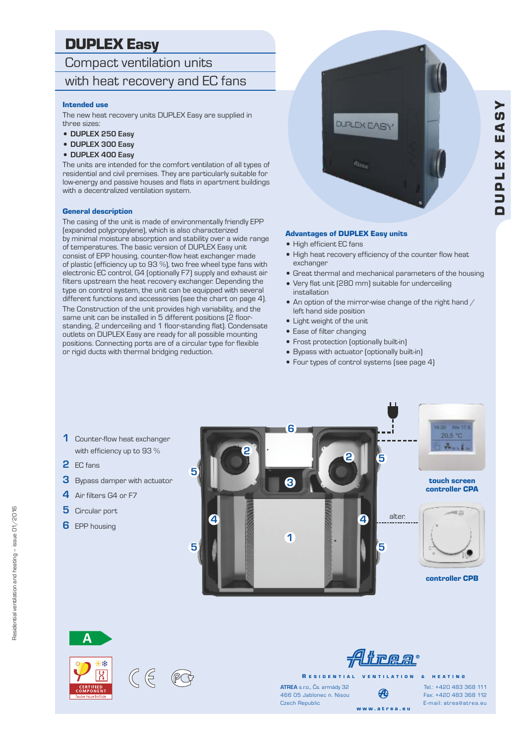## DUPLEX Easy

#### Compact ventilation units

### with heat recovery and EC fans

#### Intended use

The new heat recovery units DUPLEX Easy are supplied in three sizes:

- <sup>=</sup> **DUPLEX 250 Easy**
- <sup>=</sup> **DUPLEX 300 Easy**
- <sup>=</sup> **DUPLEX 400 Easy**

The units are intended for the comfort ventilation of all types of residential and civil premises. They are particularly suitable for low-energy and passive houses and flats in apartment buildings with a decentralized ventilation system.

#### General description

The casing of the unit is made of environmentally friendly EPP (expanded polypropylene), which is also characterized by minimal moisture absorption and stability over a wide range of temperatures. The basic version of DUPLEX Easy unit consist of EPP housing, counter-flow heat exchanger made of plastic (efficiency up to 93 %), two free wheel type fans with electronic EC control, G4 (optionally F7) supply and exhaust air filters upstream the heat recovery exchanger. Depending the type on control system, the unit can be equipped with several different functions and accessories (see the chart on page 4). The Construction of the unit provides high variability, and the same unit can be installed in 5 different positions (2 floorstanding, 2 underceiling and 1 floor-standing flat). Condensate outlets on DUPLEX Easy are ready for all possible mounting positions. Connecting ports are of a circular type for flexible or rigid ducts with thermal bridging reduction.



#### Advantages of DUPLEX Easy units

- High efficient EC fans
- High heat recovery efficiency of the counter flow heat exchanger
- Great thermal and mechanical parameters of the housing
- Very flat unit [280 mm] suitable for underceiling installation
- $\bullet$  An option of the mirror-wise change of the right hand  $/$ left hand side position
- Light weight of the unit
- Ease of filter changing
- Frost protection (optionally built-in)
- <sup>=</sup> Bypass with actuator (optionally built-in)
- Four types of control systems (see page 4)

- **1** Counter-flow heat exchanger with efficiency up to 93 %
- **2** EC fans
- **3** Bypass damper with actuator
- **4** Air filters G4 or F7
- **5** Circular port
- **6** EPP housing







*f* Alirear

R E S I D E N T I A L V E N T I L A T I O N & H E A T I N G

**ATREA** s.r.o., Čs. armády 32 Czech Republic 466 05 Jablonec n. Nisou

w w w . a t r e a . e u

Fax: +420 483 368 112 E-mail: atrea@atrea.eu Tel.: +420 483 368 111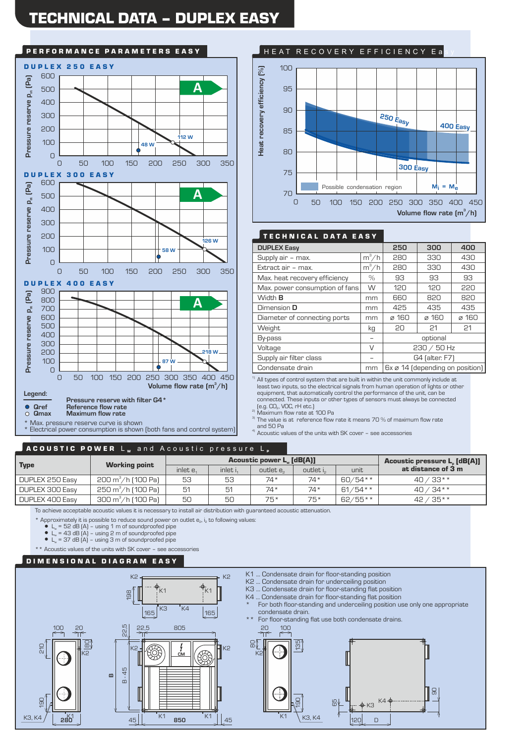## TECHNICAL DATA – DUPLEX EASY



# HEAT RECOVERY EFFICIENCY Ea Condensate drain mm 6x  $\frac{250}{100}$  **Condensation** condensation region<br>
To a condensation of the series of the series of the series of the series of the series of the series of the series of the series of the series of t  $100$ 90  $7<sub>0</sub>$ 95 80 75 85 **Volume flow rate**  $(m^3/h)$ 0 50 Possible condensation region **Mi = Me** 100 150 200 250 300 350 400 450 **250 Easy 300 Easy 400 Easy**

#### TECHNICAL DATA EASY

| <b>DUPLEX Easy</b>             |         | 250           | 300                             | 400   |
|--------------------------------|---------|---------------|---------------------------------|-------|
| Supply air - max.              | $m^3/h$ | 280           | 330                             | 430   |
| Extract air - max.             | $m^3/h$ | 280           | 330                             | 430   |
| Max. heat recovery efficiency  | $\%$    | 93            | 93                              | 93    |
| Max. power consumption of fans | W       | 120           | 120                             | 220   |
| Width <b>B</b>                 | mm      | 660           | 820                             | 820   |
| Dimension D                    | mm      | 425           | 435                             | 435   |
| Diameter of connecting ports   | mm      | ø 160         | $\alpha$ 160                    | ø 160 |
| Weight                         | kg      | 20            | 21                              | 21    |
| By-pass                        | -       | optional      |                                 |       |
| Voltage                        | V       | $230 / 50$ Hz |                                 |       |
| Supply air filter class        |         |               | G4 (alter. F7)                  |       |
| Condensate drain               | mm      |               | 6x ø 14 (depending on position) |       |

 $1)$  All types of control system that are built in within the unit commonly include at least two inputs, so the electrical signals from human operation of lights or other equipment, that automatically control the performance of the unit, can be connected. These inputs or other types of sensors must always be connected  $[e.g. CO<sub>2</sub>, VOC, rH etc.]$ 

2) Maximum flow rate at 100 Pa

<sup>3)</sup> The value is at reference flow rate it means 70 % of maximum flow rate and 50 Pa

4) Acoustic values of the units with SK cover - see accessories

#### ACOUSTIC POWER Lw and Acoustic pressure L,

| <b>Type</b>     | <b>Working point</b>           | <b>Acoustic power L. [dB(A)]</b> |          |                     |          |           | <b>Acoustic pressure L. [dB(A)]</b> |
|-----------------|--------------------------------|----------------------------------|----------|---------------------|----------|-----------|-------------------------------------|
|                 |                                | inlet e.                         | inlet i. | outlet $e_{\alpha}$ | outlet i | unit      | at distance of 3 m                  |
| DUPLEX 250 Easy | 200 m <sup>3</sup> /h (100 Pa) | 53                               | 53       | $74*$               | 74*      | 60/54**   | $40/33**$                           |
| DUPLEX 300 Easy | 250 m <sup>3</sup> /h (100 Pa) | 51                               | 51       | $74*$               | 74*      | $61/54**$ | $40/34**$                           |
| DUPLEX 400 Easy | 300 m $^3$ /h (100 Pa)         | 50                               | 50       | 75*                 | 75*      | 62/55**   | $42 / 35**$                         |

To achieve acceptable acoustic values it is necessary to install air distribution with guaranteed acoustic attenuation.

\* Approximately it is possible to reduce sound power on outlet e<sub>2</sub>, i<sub>2</sub> to following values:

 $\bullet$  L<sub>w</sub> = 52 dB (A) – using 1 m of soundproofed pipe<br>  $\bullet$  L<sub>w</sub> = 43 dB (A) – using 2 m of soundproofed pipe

 $\bullet$  L<sub>w</sub> = 37 dB (A) – using 3 m of soundproofed pipe

\*\* Acoustic values of the units with SK cover – see accessories

#### DIMENSIONAL DIAGRAM EASY

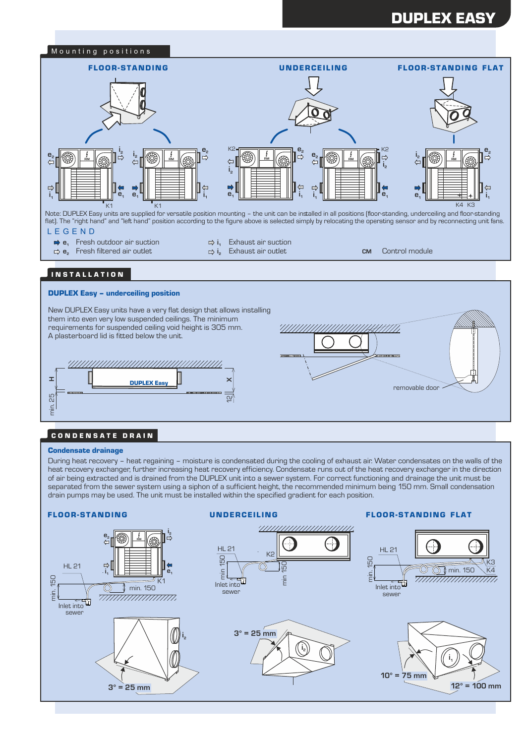## DUPLEX EASY



Note: DUPLEX Easy units are supplied for versatile position mounting – the unit can be installed in all positions (floor-standing, underceiling and floor-standing flat). The "right hand" and "left hand" position according to the figure above is selected simply by relocating the operating sensor and by reconnecting unit fans.

- L E G E N D
	- **■2 e**<sub>1</sub> Fresh outdoor air suction
	- **e<sup>2</sup>** Fresh filtered air outlet **CM** Control module
- **i<sup>1</sup>** Exhaust air suction **i** Exhaust air outlet **<sup>2</sup>**

#### I N S T A L L A T I O N

#### DUPLEX Easy – underceiling position

New DUPLEX Easy units have a very flat design that allows installing them into even very low suspended ceilings. The minimum requirements for suspended ceiling void height is 305 mm. A plasterboard lid is fitted below the unit.



# 7777777777 KA 177777 removable door

#### **CONDENSATE DRAIN**

#### Condensate drainage

During heat recovery – heat regaining – moisture is condensated during the cooling of exhaust air. Water condensates on the walls of the heat recovery exchanger, further increasing heat recovery efficiency. Condensate runs out of the heat recovery exchanger in the direction of air being extracted and is drained from the DUPLEX unit into a sewer system. For correct functioning and drainage the unit must be separated from the sewer system using a siphon of a sufficient height, the recommended minimum being 150 mm. Small condensation drain pumps may be used. The unit must be installed within the specified gradient for each position.